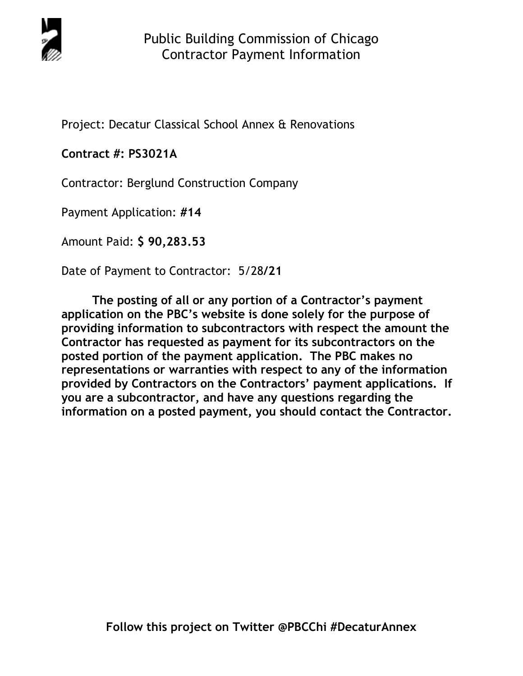

Project: Decatur Classical School Annex & Renovations

# **Contract #: PS3021A**

Contractor: Berglund Construction Company

Payment Application: **#14** 

Amount Paid: **\$ 90,283.53** 

Date of Payment to Contractor: 5/28**/21** 

**The posting of all or any portion of a Contractor's payment application on the PBC's website is done solely for the purpose of providing information to subcontractors with respect the amount the Contractor has requested as payment for its subcontractors on the posted portion of the payment application. The PBC makes no representations or warranties with respect to any of the information provided by Contractors on the Contractors' payment applications. If you are a subcontractor, and have any questions regarding the information on a posted payment, you should contact the Contractor.**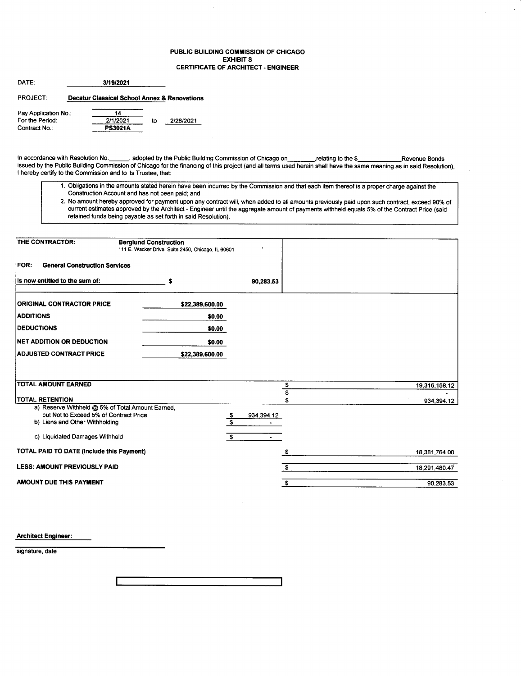#### PUBLIC BUILDING COMMISSION OF CHICAGO EXHIBIT S CERTIFICATE OF ARCHITECT. ENGINEER

 $\ddot{\phi}$ 

| DATE:                            | 3/19/2021                                    |    |           |
|----------------------------------|----------------------------------------------|----|-----------|
| <b>PROJECT</b>                   | Decatur Classical School Annex & Renovations |    |           |
| Pay Application No.:             | 14                                           |    |           |
| For the Period:<br>Contract No.: | 2/1/2021<br><b>PS3021A</b>                   | to | 2/28/2021 |

In accordance with Resolution No.\_\_\_\_\_\_, adopted by the Public Building Commission of Chicago on\_\_\_\_\_\_\_\_\_\_relating to the \$\_\_\_\_\_\_\_\_\_\_\_\_\_\_\_\_\_\_\_Revenue Bonds<br>issued by the Public Building Commission of Chicago for the financ I hereby certify to the Commission and to its Trustee, that:

- 1. Obligations in the amounts stiated herein have been incurred by the Commission and that each item thereof is a proper charge against the Construction Account and has not been paid; and
- 2. No amount hereby approved for payment upon any contract will, when added to all amounts previously paid upon such contract, exceed 90% of current estimates approved by the Architect - Engineer until the aggregate amount of payments withheld equals 5% of the Contract Price (said retained funds being payable as set forth in said Resolution).

| THE CONTRACTOR:<br><b>Berglund Construction</b>                            | 111 E. Wacker Drive, Suite 2450, Chicago, IL 60601 |                      |    |               |
|----------------------------------------------------------------------------|----------------------------------------------------|----------------------|----|---------------|
| FOR:<br><b>General Construction Services</b>                               |                                                    |                      |    |               |
| Is now entitled to the sum of:                                             | S                                                  | 90,283.53            |    |               |
| <b>ORIGINAL CONTRACTOR PRICE</b>                                           | \$22,389,600.00                                    |                      |    |               |
| <b>ADDITIONS</b>                                                           | \$0.00                                             |                      |    |               |
| <b>IDEDUCTIONS</b>                                                         | \$0.00                                             |                      |    |               |
| <b>INET ADDITION OR DEDUCTION</b>                                          | \$0.00                                             |                      |    |               |
| <b>ADJUSTED CONTRACT PRICE</b>                                             | \$22,389,600.00                                    |                      |    |               |
|                                                                            |                                                    |                      |    |               |
| <b>TOTAL AMOUNT EARNED</b>                                                 |                                                    |                      | \$ | 19,316,158.12 |
|                                                                            |                                                    |                      |    |               |
| <b>TOTAL RETENTION</b><br>a) Reserve Withheld @ 5% of Total Amount Earned, |                                                    |                      |    | 934,394.12    |
| but Not to Exceed 5% of Contract Price                                     |                                                    | 934, 394.12<br>\$    |    |               |
| b) Liens and Other Withholding                                             |                                                    | S                    |    |               |
|                                                                            |                                                    |                      |    |               |
| c) Liquidated Damages Withheld                                             |                                                    | S.<br>$\blacksquare$ |    |               |
| <b>TOTAL PAID TO DATE (Include this Payment)</b>                           |                                                    |                      | S  | 18,381,764.00 |
|                                                                            |                                                    |                      |    |               |
| <b>LESS: AMOUNT PREVIOUSLY PAID</b>                                        |                                                    |                      | s. | 18,291,480.47 |

Architect Engineer:

signature, date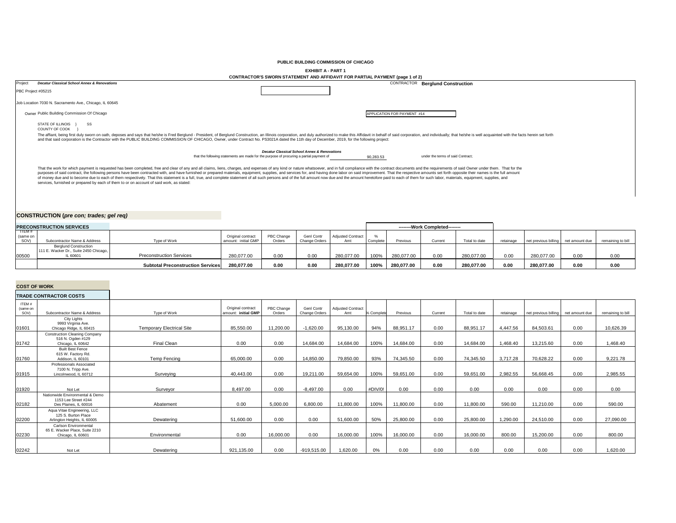**PUBLIC BUILDING COMMISSION OF CHICAGO**

**EXHIBIT A - PART 1**

|         | CONTRACTOR'S SWORN STATEMENT AND AFFIDAVIT FOR PARTIAL PAYMENT (page 1 of 2)                                                                                                                                                                                                                                                                                                                                                                                                                                                                                                                                                                                                                                                                                                                    |                                                                                          |                             |                                         |  |  |  |  |  |  |
|---------|-------------------------------------------------------------------------------------------------------------------------------------------------------------------------------------------------------------------------------------------------------------------------------------------------------------------------------------------------------------------------------------------------------------------------------------------------------------------------------------------------------------------------------------------------------------------------------------------------------------------------------------------------------------------------------------------------------------------------------------------------------------------------------------------------|------------------------------------------------------------------------------------------|-----------------------------|-----------------------------------------|--|--|--|--|--|--|
| Project | <b>Decatur Classical School Annex &amp; Renovations</b>                                                                                                                                                                                                                                                                                                                                                                                                                                                                                                                                                                                                                                                                                                                                         |                                                                                          |                             | <b>CONTRACTOR Berglund Construction</b> |  |  |  |  |  |  |
|         | PBC Project #05215                                                                                                                                                                                                                                                                                                                                                                                                                                                                                                                                                                                                                                                                                                                                                                              |                                                                                          |                             |                                         |  |  |  |  |  |  |
|         | Job Location 7030 N. Sacramento Ave., Chicago, IL 60645                                                                                                                                                                                                                                                                                                                                                                                                                                                                                                                                                                                                                                                                                                                                         |                                                                                          |                             |                                         |  |  |  |  |  |  |
|         | Owner Public Building Commission Of Chicago                                                                                                                                                                                                                                                                                                                                                                                                                                                                                                                                                                                                                                                                                                                                                     |                                                                                          | APPLICATION FOR PAYMENT #14 |                                         |  |  |  |  |  |  |
|         | SS<br>STATE OF ILLINOIS<br>COUNTY OF COOK                                                                                                                                                                                                                                                                                                                                                                                                                                                                                                                                                                                                                                                                                                                                                       |                                                                                          |                             |                                         |  |  |  |  |  |  |
|         | The affiant, being first duly sworn on oath, deposes and says that he/she is Fred Berglund - President, of Berglund Construction, an Illinois corporation, and duly authorized to make this Affidavit in behalf of said corpor<br>and that said corporation is the Contractor with the PUBLIC BUILDING COMMISSION OF CHICAGO, Owner, under Contract No. PS3021A dated the 11th day of December, 2019, for the following project:                                                                                                                                                                                                                                                                                                                                                                |                                                                                          |                             |                                         |  |  |  |  |  |  |
|         |                                                                                                                                                                                                                                                                                                                                                                                                                                                                                                                                                                                                                                                                                                                                                                                                 | <b>Decatur Classical School Annex &amp; Renovations</b>                                  |                             |                                         |  |  |  |  |  |  |
|         |                                                                                                                                                                                                                                                                                                                                                                                                                                                                                                                                                                                                                                                                                                                                                                                                 | that the following statements are made for the purpose of procuring a partial payment of | 90,283.53                   | under the terms of said Contract:       |  |  |  |  |  |  |
|         | That the work for which payment is requested has been completed, free and clear of any and all claims, liens, charges, and expenses of any kind or nature whatsoever, and in full compliance with the contract documents and t<br>purposes of said contract, the following persons have been contracted with, and have furnished or prepared materials, equipment, supplies, and services for, and having done labor on said improvement. That the respective am<br>of money due and to become due to each of them respectively. That this statement is a full, true, and complete statement of all such persons and of the full amount now due and the amount heretofore paid to each of them for<br>services, furnished or prepared by each of them to or on account of said work, as stated: |                                                                                          |                             |                                         |  |  |  |  |  |  |

# **CONSTRUCTION (***pre con; trades; gel req)*

| <b>PRECONSTRUCTION SERVICES</b> |                                        |                                          |                     |            |                   |                          | --------Work Completed-------- |            |        |               |           |                                     |      |                   |
|---------------------------------|----------------------------------------|------------------------------------------|---------------------|------------|-------------------|--------------------------|--------------------------------|------------|--------|---------------|-----------|-------------------------------------|------|-------------------|
| TIEM#<br>(same on               |                                        |                                          | Original contract   | PBC Change | <b>Genl Contr</b> | <b>Adjusted Contract</b> |                                |            |        |               |           |                                     |      |                   |
| SOV)                            | Subcontractor Name & Address           | Type of Work                             | amount: initial GMP | Orders     | Change Orders     | Amt                      | Complete                       | Previous   | Curren | Total to date | retainage | net previous billing net amount due |      | remaining to bill |
|                                 | <b>Berglund Construction</b>           |                                          |                     |            |                   |                          |                                |            |        |               |           |                                     |      |                   |
|                                 | 111 E. Wacker Dr., Suite 2450 Chicago, |                                          |                     |            |                   |                          |                                |            |        |               |           |                                     |      |                   |
| 00500                           | IL 60601                               | <b>Preconstruction Services</b>          | 280,077.00          | 0.00       | 0.00              | 280.077.00               | 100%                           | 280,077.00 | 0.00   | 280.077.00    | 0.00      | 280,077.00                          | 0.00 | 0.00              |
|                                 |                                        | <b>Subtotal Preconstruction Services</b> | 280,077.00          | 0.00       | 0.00              | 280,077.00               | 100%                           | 280,077.00 | 0.00   | 280,077.00    | 0.00      | 280,077.00                          | 0.00 | 0.00              |
|                                 |                                        |                                          |                     |            |                   |                          |                                |            |        |               |           |                                     |      |                   |

## **COST OF WORK**

## **TRADE CONTRACTOR COSTS**

| ITEM#<br>(same on<br>SOV) | Subcontractor Name & Address                                                      | Type of Work                     | Original contract<br>amount: initial GMP | PBC Change<br>Orders | Genl Contr<br>Change Orders | <b>Adjusted Contract</b><br>Amt | % Complete | Previous  | Current | Total to date | retainage | net previous billing | net amount due | remaining to bill |
|---------------------------|-----------------------------------------------------------------------------------|----------------------------------|------------------------------------------|----------------------|-----------------------------|---------------------------------|------------|-----------|---------|---------------|-----------|----------------------|----------------|-------------------|
| 01601                     | City Lights<br>9993 Virginia Ave.<br>Chicago Ridge, IL 60415                      | <b>Temporary Electrical Site</b> | 85,550.00                                | 11,200.00            | $-1,620.00$                 | 95,130.00                       | 94%        | 88,951.17 | 0.00    | 88,951.17     | 4,447.56  | 84,503.61            | 0.00           | 10,626.39         |
| 01742                     | <b>Construction Cleaning Company</b><br>516 N. Ogden #129<br>Chicago, IL 60642    | Final Clean                      | 0.00                                     | 0.00                 | 14.684.00                   | 14.684.00                       | 100%       | 14,684.00 | 0.00    | 14.684.00     | 1.468.40  | 13.215.60            | 0.00           | 1.468.40          |
| 01760                     | <b>Built Best Fence</b><br>615 W. Factory Rd.<br>Addison. IL 60101                | Temp Fencing                     | 65.000.00                                | 0.00                 | 14.850.00                   | 79.850.00                       | 93%        | 74.345.50 | 0.00    | 74.345.50     | 3.717.28  | 70.628.22            | 0.00           | 9,221.78          |
| 01915                     | Professionals Associated<br>7100 N. Tripp Ave.<br>Lincolnwood, IL 60712           | Surveying                        | 40,443.00                                | 0.00                 | 19,211.00                   | 59,654.00                       | 100%       | 59,651.00 | 0.00    | 59,651.00     | 2,982.55  | 56,668.45            | 0.00           | 2,985.55          |
| 01920                     | Not Let                                                                           | Surveyor                         | 8,497.00                                 | 0.00                 | $-8,497.00$                 | 0.00                            | #DIV/0!    | 0.00      | 0.00    | 0.00          | 0.00      | 0.00                 | 0.00           | 0.00              |
| 02182                     | Nationwide Environmental & Demo<br>1153 Lee Street #244<br>Des Plaines. IL 60016  | Abatement                        | 0.00                                     | 5,000.00             | 6.800.00                    | 11,800.00                       | 100%       | 11,800.00 | 0.00    | 11,800.00     | 590.00    | 11.210.00            | 0.00           | 590.00            |
| 02200                     | Aqua Vitae Engineering, LLC<br>125 S. Burton Place<br>Arlington Heights, IL 60005 | Dewatering                       | 51,600.00                                | 0.00                 | 0.00                        | 51,600.00                       | 50%        | 25,800.00 | 0.00    | 25,800.00     | 1,290.00  | 24.510.00            | 0.00           | 27,090.00         |
| 02230                     | Carlson Environmental<br>65 E. Wacker Place, Suite 2210<br>Chicago, IL 60601      | Environmental                    | 0.00                                     | 16,000.00            | 0.00                        | 16,000.00                       | 100%       | 16,000.00 | 0.00    | 16,000.00     | 800.00    | 15,200.00            | 0.00           | 800.00            |
| 02242                     | Not Let                                                                           | Dewatering                       | 921,135.00                               | 0.00                 | $-919,515.00$               | 1,620.00                        | 0%         | 0.00      | 0.00    | 0.00          | 0.00      | 0.00                 | 0.00           | 1,620.00          |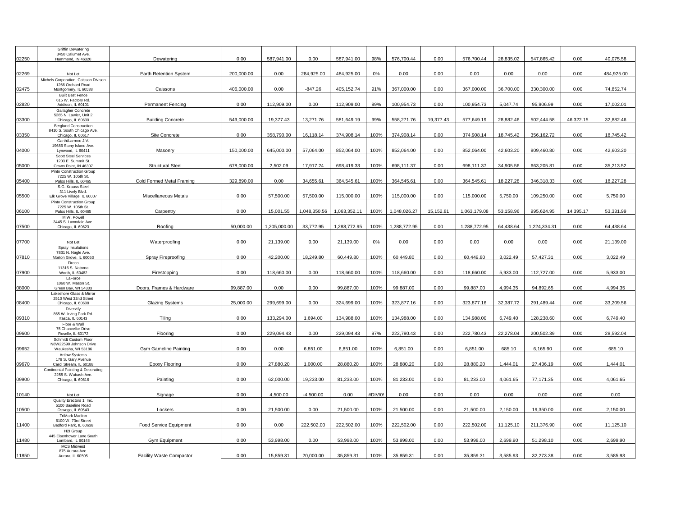|       | <b>Griffin Dewatering</b>                                  |                                 |            |              |              |              |         |              |           |              |           |              |           |            |
|-------|------------------------------------------------------------|---------------------------------|------------|--------------|--------------|--------------|---------|--------------|-----------|--------------|-----------|--------------|-----------|------------|
| 02250 | 3450 Calumet Ave.<br>Hammond, IN 46320                     | Dewatering                      | 0.00       | 587,941.00   | 0.00         | 587,941.00   | 98%     | 576,700.44   | 0.00      | 576,700.44   | 28,835.02 | 547,865.42   | 0.00      | 40,075.58  |
|       |                                                            |                                 |            |              |              |              |         |              |           |              |           |              |           |            |
|       |                                                            |                                 |            |              |              |              |         |              |           |              |           |              |           |            |
| 02269 | Not Let                                                    | Earth Retention System          | 200,000.00 | 0.00         | 284,925.00   | 484,925.00   | 0%      | 0.00         | 0.00      | 0.00         | 0.00      | 0.00         | 0.00      | 484,925.00 |
|       | Michels Corporation, Caisson Divison<br>1266 Orchard Road  |                                 |            |              |              |              |         |              |           |              |           |              |           |            |
| 02475 | Montgomery, IL 60538                                       | Caissons                        | 406,000.00 | 0.00         | $-847.26$    | 405,152.74   | 91%     | 367,000.00   | 0.00      | 367,000.00   | 36,700.00 | 330,300.00   | 0.00      | 74,852.74  |
|       | <b>Built Best Fence</b>                                    |                                 |            |              |              |              |         |              |           |              |           |              |           |            |
| 02820 | 615 W. Factory Rd.<br>Addison, IL 60101                    | Permanent Fencing               | 0.00       | 112,909.00   | 0.00         | 112,909.00   | 89%     | 100,954.73   | 0.00      | 100,954.73   | 5,047.74  | 95,906.99    | 0.00      | 17,002.01  |
|       | Gallagher Concrete                                         |                                 |            |              |              |              |         |              |           |              |           |              |           |            |
|       | 5265 N. Lawler, Unit 2                                     |                                 |            |              |              |              |         |              |           |              |           |              |           |            |
| 03300 | Chicago, IL 60630                                          | <b>Building Concrete</b>        | 549,000.00 | 19.377.43    | 13.271.76    | 581,649.19   | 99%     | 558,271.76   | 19.377.43 | 577.649.19   | 28.882.46 | 502.444.58   | 46.322.15 | 32,882.46  |
|       | <b>Berglund Construction</b><br>8410 S. South Chicago Ave. |                                 |            |              |              |              |         |              |           |              |           |              |           |            |
| 03350 | Chicago, IL 60617                                          | Site Concrete                   | 0.00       | 358,790.00   | 16,118.14    | 374,908.14   | 100%    | 374,908.14   | 0.00      | 374,908.14   | 18,745.42 | 356,162.72   | 0.00      | 18,745.42  |
|       | Garth/Larmco J.V.                                          |                                 |            |              |              |              |         |              |           |              |           |              |           |            |
| 04000 | 19686 Stony Island Ave.<br>Lynwood, IL 60411               | Masonry                         | 150,000.00 | 645,000.00   | 57.064.00    | 852,064.00   | 100%    | 852.064.00   | 0.00      | 852.064.00   | 42,603.20 | 809,460.80   | 0.00      | 42,603.20  |
|       | <b>Scott Steel Services</b>                                |                                 |            |              |              |              |         |              |           |              |           |              |           |            |
|       | 1203 E. Summit St.                                         |                                 |            |              |              |              |         |              |           |              |           |              |           |            |
| 05000 | Crown Point, IN 46307<br>Pinto Construction Group          | <b>Structural Steel</b>         | 678,000.00 | 2,502.09     | 17,917.24    | 698,419.33   | 100%    | 698,111.37   | 0.00      | 698,111.37   | 34,905.56 | 663,205.81   | 0.00      | 35,213.52  |
|       | 7225 W. 105th St.                                          |                                 |            |              |              |              |         |              |           |              |           |              |           |            |
| 05400 | Palos Hills, IL 60465                                      | Cold Formed Metal Framing       | 329,890.00 | 0.00         | 34,655.61    | 364,545.61   | 100%    | 364,545.61   | 0.00      | 364,545.61   | 18,227.28 | 346,318.33   | 0.00      | 18,227.28  |
|       | S.G. Krauss Steel                                          |                                 |            |              |              |              |         |              |           |              |           |              |           |            |
| 05500 | 311 Lively Blvd.<br>Elk Grove Village, IL 60007            | Miscellaneous Metals            | 0.00       | 57,500.00    | 57,500.00    | 115,000.00   | 100%    | 115,000.00   | 0.00      | 115,000.00   | 5,750.00  | 109,250.00   | 0.00      | 5,750.00   |
|       | Pinto Construction Group                                   |                                 |            |              |              |              |         |              |           |              |           |              |           |            |
|       | 7225 W. 105th St.                                          |                                 | 0.00       | 15,001.55    | 1,048,350.56 | 1,063,352.11 | 100%    | 1,048,026.27 | 15,152.81 | 1,063,179.08 | 53,158.96 | 995.624.95   | 14,395.17 | 53,331.99  |
| 06100 | Palos Hills, IL 60465<br>M.W. Powell                       | Carpentry                       |            |              |              |              |         |              |           |              |           |              |           |            |
|       | 3445 S. Lawndale Ave.                                      |                                 |            |              |              |              |         |              |           |              |           |              |           |            |
| 07500 | Chicago, IL 60623                                          | Roofing                         | 50,000.00  | 1,205,000.00 | 33,772.95    | 1,288,772.95 | 100%    | 1,288,772.95 | 0.00      | 1,288,772.95 | 64,438.64 | 1,224,334.31 | 0.00      | 64,438.64  |
|       |                                                            |                                 |            |              |              |              |         |              |           |              |           |              |           |            |
| 07700 | Not Let                                                    | Waterproofing                   | 0.00       | 21,139.00    | 0.00         | 21,139.00    | 0%      | 0.00         | 0.00      | 0.00         | 0.00      | 0.00         | 0.00      | 21,139.00  |
|       | Spray Insulations                                          |                                 |            |              |              |              |         |              |           |              |           |              |           |            |
| 07810 | 7831 N. Nagle Ave.<br>Morton Grove, IL 60053               | Spray Fireproofing              | 0.00       | 42.200.00    | 18.249.80    | 60.449.80    | 100%    | 60.449.80    | 0.00      | 60.449.80    | 3.022.49  | 57.427.31    | 0.00      | 3.022.49   |
|       | Fireco                                                     |                                 |            |              |              |              |         |              |           |              |           |              |           |            |
|       | 11316 S. Natoma                                            |                                 |            |              |              |              |         |              |           |              |           |              |           |            |
| 07900 | Worth, IL 60482<br>LaForce                                 | Firestopping                    | 0.00       | 118,660.00   | 0.00         | 118,660.00   | 100%    | 118,660.00   | 0.00      | 118,660.00   | 5,933.00  | 112,727.00   | 0.00      | 5,933.00   |
|       | 1060 W. Mason St.                                          |                                 |            |              |              |              |         |              |           |              |           |              |           |            |
| 08000 | Green Bay, WI 54303                                        | Doors, Frames & Hardware        | 99,887.00  | 0.00         | 0.00         | 99,887.00    | 100%    | 99,887.00    | 0.00      | 99,887.00    | 4,994.35  | 94,892.65    | 0.00      | 4,994.35   |
|       | Lakeshore Glass & Mirror<br>2510 West 32nd Street          |                                 |            |              |              |              |         |              |           |              |           |              |           |            |
| 08400 | Chicago, IL 60608                                          | <b>Glazing Systems</b>          | 25,000.00  | 299,699.00   | 0.00         | 324,699.00   | 100%    | 323,877.16   | 0.00      | 323,877.16   | 32,387.72 | 291.489.44   | 0.00      | 33,209.56  |
|       | Diverzify                                                  |                                 |            |              |              |              |         |              |           |              |           |              |           |            |
| 09310 | 865 W. Irving Park Rd.<br>Itasca, IL 60143                 | Tiling                          | 0.00       | 133,294.00   | 1,694.00     | 134,988.00   | 100%    | 134,988.00   | 0.00      | 134,988.00   | 6,749.40  | 128,238.60   | 0.00      | 6,749.40   |
|       | Floor & Wall                                               |                                 |            |              |              |              |         |              |           |              |           |              |           |            |
|       | 75 Chancellor Drive                                        |                                 |            |              |              |              |         |              |           |              |           |              |           |            |
| 09600 | Roselle, IL 60172                                          | Flooring                        | 0.00       | 229.094.43   | 0.00         | 229,094.43   | 97%     | 222.780.43   | 0.00      | 222.780.43   | 22.278.04 | 200.502.39   | 0.00      | 28,592.04  |
|       | Schmidt Custom Floor<br>N8W22590 Johnson Drive             |                                 |            |              |              |              |         |              |           |              |           |              |           |            |
| 09652 | Waukesha, WI 53186                                         | <b>Gym Gameline Painting</b>    | 0.00       | 0.00         | 6,851.00     | 6,851.00     | 100%    | 6,851.00     | 0.00      | 6,851.00     | 685.10    | 6,165.90     | 0.00      | 685.10     |
|       | <b>Artlow Systems</b>                                      |                                 |            |              |              |              |         |              |           |              |           |              |           |            |
| 09670 | 179 S. Gary Avenue<br>Carol Stream, IL 60188               | <b>Epoxy Flooring</b>           | 0.00       | 27.880.20    | 1.000.00     | 28.880.20    | 100%    | 28,880.20    | 0.00      | 28.880.20    | 1.444.01  | 27.436.19    | 0.00      | 1.444.01   |
|       | Continental Painting & Decorating                          |                                 |            |              |              |              |         |              |           |              |           |              |           |            |
| 09900 | 2255 S. Wabash Ave.<br>Chicago, IL 60616                   | Painting                        | 0.00       | 62.000.00    | 19,233.00    | 81.233.00    | 100%    | 81,233.00    | 0.00      | 81,233.00    | 4,061.65  | 77.171.35    | 0.00      | 4,061.65   |
|       |                                                            |                                 |            |              |              |              |         |              |           |              |           |              |           |            |
|       |                                                            |                                 |            |              |              |              |         |              |           |              |           |              |           |            |
| 10140 | Not Let                                                    | Signage                         | 0.00       | 4,500.00     | $-4,500.00$  | 0.00         | #DIV/0! | 0.00         | 0.00      | 0.00         | 0.00      | 0.00         | 0.00      | 0.00       |
|       | Quality Erectors 1, Inc.<br>5100 Baseline Road             |                                 |            |              |              |              |         |              |           |              |           |              |           |            |
| 10500 | Oswego, IL 60543                                           | Lockers                         | 0.00       | 21.500.00    | 0.00         | 21.500.00    | 100%    | 21,500.00    | 0.00      | 21,500.00    | 2.150.00  | 19,350.00    | 0.00      | 2,150.00   |
|       | <b>TriMark Marlinn</b>                                     |                                 |            |              |              |              |         |              |           |              |           |              |           |            |
| 11400 | 6100 W. 73rd Street<br>Bedford Park, IL 60638              | Food Service Equipment          | 0.00       | 0.00         | 222,502.00   | 222,502.00   | 100%    | 222,502.00   | 0.00      | 222,502.00   | 11,125.10 | 211,376.90   | 0.00      | 11,125.10  |
|       | H2I Group                                                  |                                 |            |              |              |              |         |              |           |              |           |              |           |            |
|       | 445 Eisenhower Lane South                                  |                                 | 0.00       |              | 0.00         |              |         |              |           |              |           |              | 0.00      |            |
| 11480 | Lombard, IL 60148<br><b>MCS Midwest</b>                    | <b>Gym Equipment</b>            |            | 53,998.00    |              | 53,998.00    | 100%    | 53,998.00    | 0.00      | 53,998.00    | 2,699.90  | 51,298.10    |           | 2,699.90   |
|       | 875 Aurora Ave.                                            |                                 |            |              |              |              |         |              |           |              |           |              |           |            |
| 11850 | Aurora, IL 60505                                           | <b>Facility Waste Compactor</b> | 0.00       | 15,859.31    | 20,000.00    | 35,859.31    | 100%    | 35,859.31    | 0.00      | 35,859.31    | 3,585.93  | 32,273.38    | 0.00      | 3,585.93   |